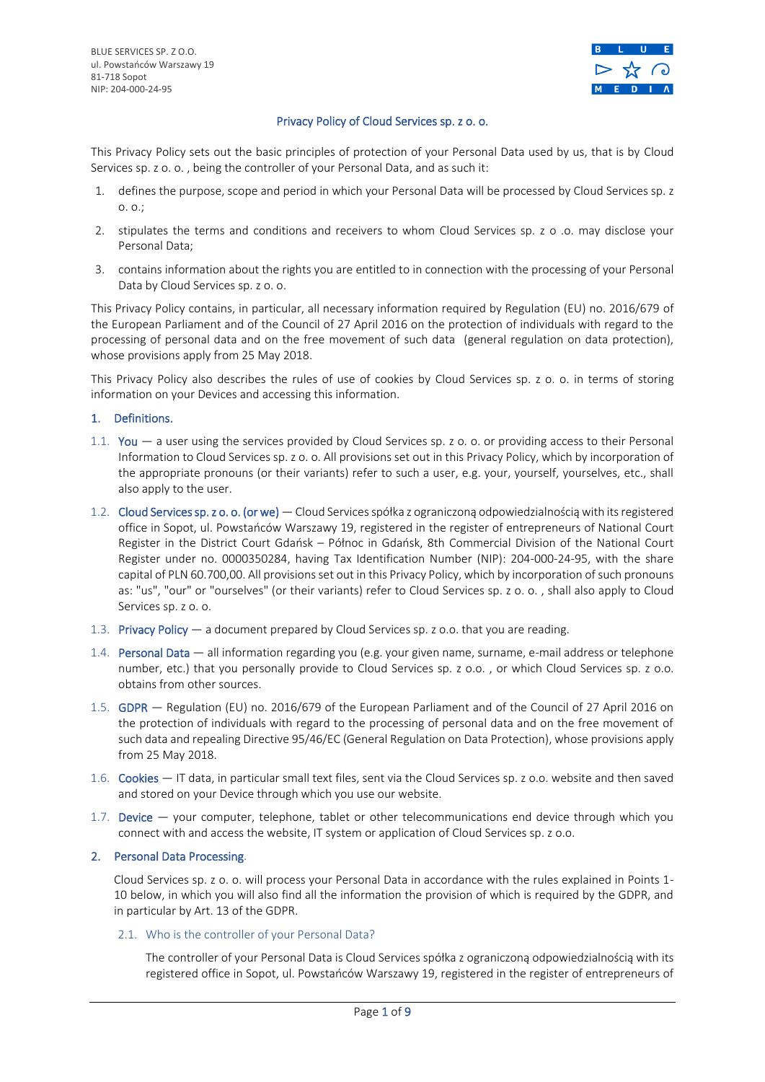BLUE SERVICES SP. Z O.O. ul. Powstańców Warszawy 19 81-718 Sopot NIP: 204-000-24-95



# Privacy Policy of Cloud Services sp. z o. o.

This Privacy Policy sets out the basic principles of protection of your Personal Data used by us, that is by Cloud Services sp. z o. o. , being the controller of your Personal Data, and as such it:

- 1. defines the purpose, scope and period in which your Personal Data will be processed by Cloud Services sp. z o. o.;
- 2. stipulates the terms and conditions and receivers to whom Cloud Services sp. z o .o. may disclose your Personal Data;
- 3. contains information about the rights you are entitled to in connection with the processing of your Personal Data by Cloud Services sp. z o. o.

This Privacy Policy contains, in particular, all necessary information required by Regulation (EU) no. 2016/679 of the European Parliament and of the Council of 27 April 2016 on the protection of individuals with regard to the processing of personal data and on the free movement of such data (general regulation on data protection), whose provisions apply from 25 May 2018.

This Privacy Policy also describes the rules of use of cookies by Cloud Services sp. z o. o. in terms of storing information on your Devices and accessing this information.

## 1. Definitions.

- 1.1. You a user using the services provided by Cloud Services sp. z o. o. or providing access to their Personal Information to Cloud Services sp. z o. o. All provisions set out in this Privacy Policy, which by incorporation of the appropriate pronouns (or their variants) refer to such a user, e.g. your, yourself, yourselves, etc., shall also apply to the user.
- 1.2. Cloud Services sp. z o. o. (or we) Cloud Services spółka z ograniczoną odpowiedzialnością with its registered office in Sopot, ul. Powstańców Warszawy 19, registered in the register of entrepreneurs of National Court Register in the District Court Gdańsk – Północ in Gdańsk, 8th Commercial Division of the National Court Register under no. 0000350284, having Tax Identification Number (NIP): 204-000-24-95, with the share capital of PLN 60.700,00. All provisions set out in this Privacy Policy, which by incorporation of such pronouns as: "us", "our" or "ourselves" (or their variants) refer to Cloud Services sp. z o. o. , shall also apply to Cloud Services sp. z o. o.
- 1.3. Privacy Policy a document prepared by Cloud Services sp. z o.o. that you are reading.
- 1.4. Personal Data all information regarding you (e.g. your given name, surname, e-mail address or telephone number, etc.) that you personally provide to Cloud Services sp. z o.o. , or which Cloud Services sp. z o.o. obtains from other sources.
- 1.5. GDPR Regulation (EU) no. 2016/679 of the European Parliament and of the Council of 27 April 2016 on the protection of individuals with regard to the processing of personal data and on the free movement of such data and repealing Directive 95/46/EC (General Regulation on Data Protection), whose provisions apply from 25 May 2018.
- 1.6. Cookies IT data, in particular small text files, sent via the Cloud Services sp. z o.o. website and then saved and stored on your Device through which you use our website.
- 1.7. Device your computer, telephone, tablet or other telecommunications end device through which you connect with and access the website, IT system or application of Cloud Services sp. z o.o.

## 2. Personal Data Processing.

Cloud Services sp. z o. o. will process your Personal Data in accordance with the rules explained in Points 1- 10 below, in which you will also find all the information the provision of which is required by the GDPR, and in particular by Art. 13 of the GDPR.

# 2.1. Who is the controller of your Personal Data?

The controller of your Personal Data is Cloud Services spółka z ograniczoną odpowiedzialnością with its registered office in Sopot, ul. Powstańców Warszawy 19, registered in the register of entrepreneurs of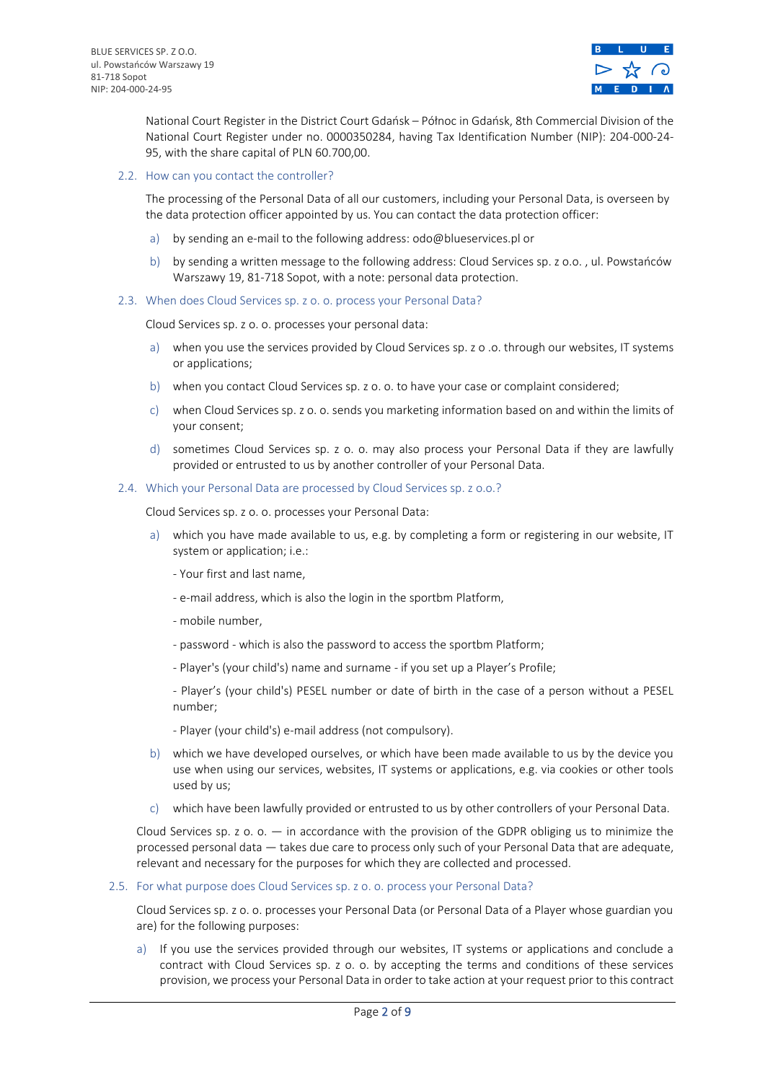

National Court Register in the District Court Gdańsk – Północ in Gdańsk, 8th Commercial Division of the National Court Register under no. 0000350284, having Tax Identification Number (NIP): 204-000-24- 95, with the share capital of PLN 60.700,00.

### 2.2. How can you contact the controller?

The processing of the Personal Data of all our customers, including your Personal Data, is overseen by the data protection officer appointed by us. You can contact the data protection officer:

- a) by sending an e-mail to the following address: odo@blueservices.pl or
- b) by sending a written message to the following address: Cloud Services sp. z o.o. , ul. Powstańców Warszawy 19, 81-718 Sopot, with a note: personal data protection.
- 2.3. When does Cloud Services sp. z o. o. process your Personal Data?

Cloud Services sp. z o. o. processes your personal data:

- a) when you use the services provided by Cloud Services sp. z o .o. through our websites, IT systems or applications;
- b) when you contact Cloud Services sp. z o. o. to have your case or complaint considered;
- c) when Cloud Services sp. z o. o. sends you marketing information based on and within the limits of your consent;
- d) sometimes Cloud Services sp. z o. o. may also process your Personal Data if they are lawfully provided or entrusted to us by another controller of your Personal Data.
- 2.4. Which your Personal Data are processed by Cloud Services sp. z o.o.?

Cloud Services sp. z o. o. processes your Personal Data:

- a) which you have made available to us, e.g. by completing a form or registering in our website, IT system or application; i.e.:
	- Your first and last name,
	- e-mail address, which is also the login in the sportbm Platform,
	- mobile number,
	- password which is also the password to access the sportbm Platform;
	- Player's (your child's) name and surname if you set up a Player's Profile;

- Player's (your child's) PESEL number or date of birth in the case of a person without a PESEL number;

- Player (your child's) e-mail address (not compulsory).
- b) which we have developed ourselves, or which have been made available to us by the device you use when using our services, websites, IT systems or applications, e.g. via cookies or other tools used by us;
- c) which have been lawfully provided or entrusted to us by other controllers of your Personal Data.

Cloud Services sp.  $z$  o.  $o. - in$  accordance with the provision of the GDPR obliging us to minimize the processed personal data — takes due care to process only such of your Personal Data that are adequate, relevant and necessary for the purposes for which they are collected and processed.

#### 2.5. For what purpose does Cloud Services sp. z o. o. process your Personal Data?

Cloud Services sp. z o. o. processes your Personal Data (or Personal Data of a Player whose guardian you are) for the following purposes:

a) If you use the services provided through our websites, IT systems or applications and conclude a contract with Cloud Services sp. z o. o. by accepting the terms and conditions of these services provision, we process your Personal Data in order to take action at your request prior to this contract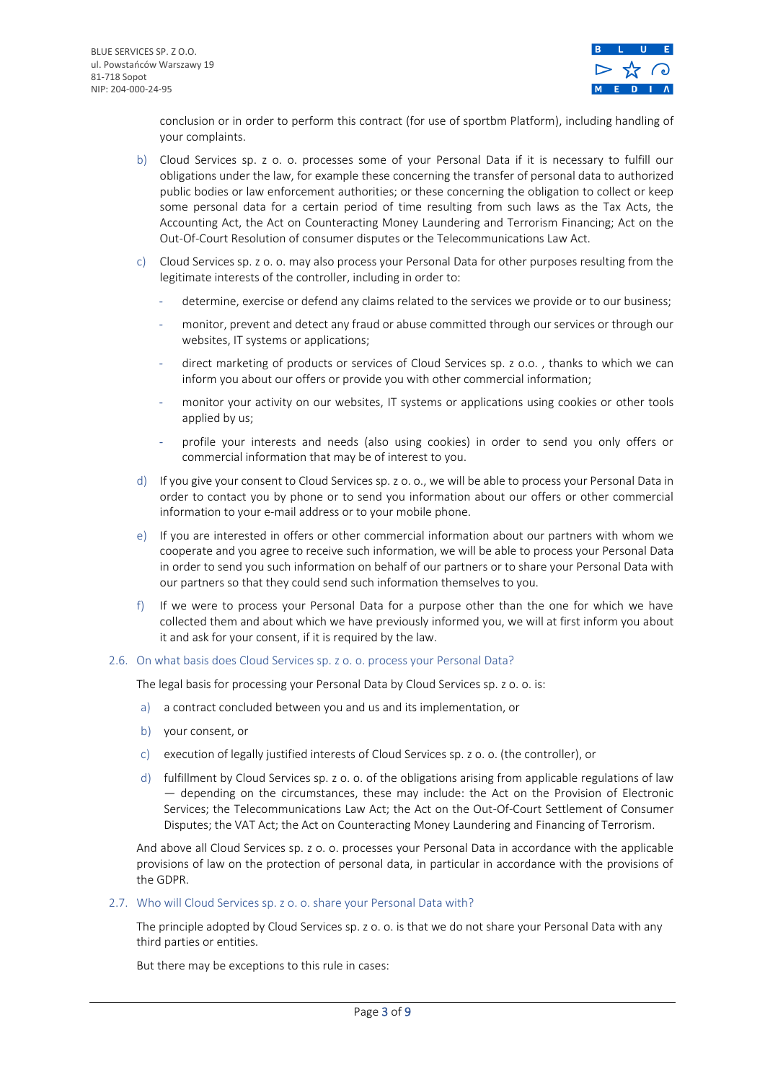

conclusion or in order to perform this contract (for use of sportbm Platform), including handling of your complaints.

- b) Cloud Services sp. z o. o. processes some of your Personal Data if it is necessary to fulfill our obligations under the law, for example these concerning the transfer of personal data to authorized public bodies or law enforcement authorities; or these concerning the obligation to collect or keep some personal data for a certain period of time resulting from such laws as the Tax Acts, the Accounting Act, the Act on Counteracting Money Laundering and Terrorism Financing; Act on the Out-Of-Court Resolution of consumer disputes or the Telecommunications Law Act.
- c) Cloud Services sp. z o. o. may also process your Personal Data for other purposes resulting from the legitimate interests of the controller, including in order to:
	- determine, exercise or defend any claims related to the services we provide or to our business;
	- monitor, prevent and detect any fraud or abuse committed through our services or through our websites, IT systems or applications;
	- direct marketing of products or services of Cloud Services sp. z o.o., thanks to which we can inform you about our offers or provide you with other commercial information;
	- monitor your activity on our websites, IT systems or applications using cookies or other tools applied by us;
	- profile your interests and needs (also using cookies) in order to send you only offers or commercial information that may be of interest to you.
- d) If you give your consent to Cloud Services sp. z o. o., we will be able to process your Personal Data in order to contact you by phone or to send you information about our offers or other commercial information to your e-mail address or to your mobile phone.
- e) If you are interested in offers or other commercial information about our partners with whom we cooperate and you agree to receive such information, we will be able to process your Personal Data in order to send you such information on behalf of our partners or to share your Personal Data with our partners so that they could send such information themselves to you.
- f) If we were to process your Personal Data for a purpose other than the one for which we have collected them and about which we have previously informed you, we will at first inform you about it and ask for your consent, if it is required by the law.

## 2.6. On what basis does Cloud Services sp. z o. o. process your Personal Data?

The legal basis for processing your Personal Data by Cloud Services sp. z o. o. is:

- a) a contract concluded between you and us and its implementation, or
- b) your consent, or
- c) execution of legally justified interests of Cloud Services sp. z o. o. (the controller), or
- d) fulfillment by Cloud Services sp. z o. o. of the obligations arising from applicable regulations of law — depending on the circumstances, these may include: the Act on the Provision of Electronic Services; the Telecommunications Law Act; the Act on the Out-Of-Court Settlement of Consumer Disputes; the VAT Act; the Act on Counteracting Money Laundering and Financing of Terrorism.

And above all Cloud Services sp. z o. o. processes your Personal Data in accordance with the applicable provisions of law on the protection of personal data, in particular in accordance with the provisions of the GDPR.

2.7. Who will Cloud Services sp. z o. o. share your Personal Data with?

The principle adopted by Cloud Services sp. z o. o. is that we do not share your Personal Data with any third parties or entities.

But there may be exceptions to this rule in cases: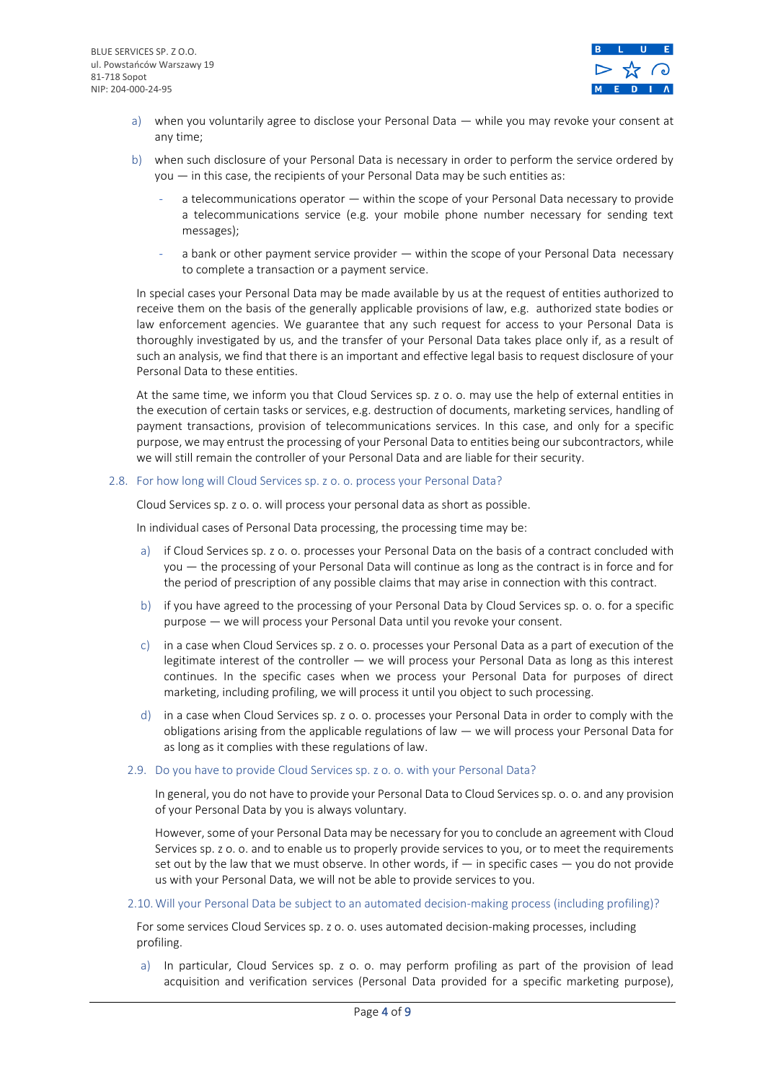

- a) when you voluntarily agree to disclose your Personal Data while you may revoke your consent at any time;
- b) when such disclosure of your Personal Data is necessary in order to perform the service ordered by you — in this case, the recipients of your Personal Data may be such entities as:
	- a telecommunications operator within the scope of your Personal Data necessary to provide a telecommunications service (e.g. your mobile phone number necessary for sending text messages);
	- a bank or other payment service provider within the scope of your Personal Data necessary to complete a transaction or a payment service.

In special cases your Personal Data may be made available by us at the request of entities authorized to receive them on the basis of the generally applicable provisions of law, e.g. authorized state bodies or law enforcement agencies. We guarantee that any such request for access to your Personal Data is thoroughly investigated by us, and the transfer of your Personal Data takes place only if, as a result of such an analysis, we find that there is an important and effective legal basis to request disclosure of your Personal Data to these entities.

At the same time, we inform you that Cloud Services sp. z o. o. may use the help of external entities in the execution of certain tasks or services, e.g. destruction of documents, marketing services, handling of payment transactions, provision of telecommunications services. In this case, and only for a specific purpose, we may entrust the processing of your Personal Data to entities being our subcontractors, while we will still remain the controller of your Personal Data and are liable for their security.

## 2.8. For how long will Cloud Services sp. z o. o. process your Personal Data?

Cloud Services sp. z o. o. will process your personal data as short as possible.

In individual cases of Personal Data processing, the processing time may be:

- a) if Cloud Services sp. z o. o. processes your Personal Data on the basis of a contract concluded with you — the processing of your Personal Data will continue as long as the contract is in force and for the period of prescription of any possible claims that may arise in connection with this contract.
- b) if you have agreed to the processing of your Personal Data by Cloud Services sp. o. o. for a specific purpose — we will process your Personal Data until you revoke your consent.
- c) in a case when Cloud Services sp. z o. o. processes your Personal Data as a part of execution of the legitimate interest of the controller — we will process your Personal Data as long as this interest continues. In the specific cases when we process your Personal Data for purposes of direct marketing, including profiling, we will process it until you object to such processing.
- d) in a case when Cloud Services sp. z o. o. processes your Personal Data in order to comply with the obligations arising from the applicable regulations of law — we will process your Personal Data for as long as it complies with these regulations of law.

## 2.9. Do you have to provide Cloud Services sp. z o. o. with your Personal Data?

In general, you do not have to provide your Personal Data to Cloud Services sp. o. o. and any provision of your Personal Data by you is always voluntary.

However, some of your Personal Data may be necessary for you to conclude an agreement with Cloud Services sp. z o. o. and to enable us to properly provide services to you, or to meet the requirements set out by the law that we must observe. In other words, if — in specific cases — you do not provide us with your Personal Data, we will not be able to provide services to you.

#### 2.10.Will your Personal Data be subject to an automated decision-making process (including profiling)?

For some services Cloud Services sp. z o. o. uses automated decision-making processes, including profiling.

a) In particular, Cloud Services sp. z o. o. may perform profiling as part of the provision of lead acquisition and verification services (Personal Data provided for a specific marketing purpose),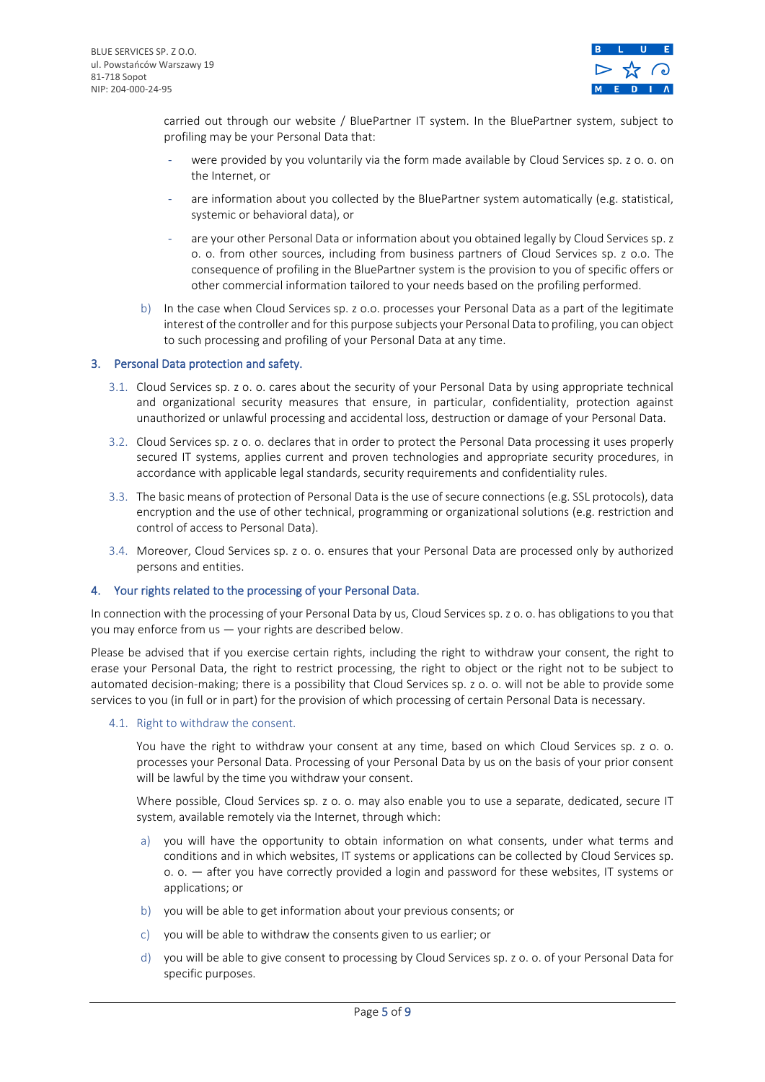

carried out through our website / BluePartner IT system. In the BluePartner system, subject to profiling may be your Personal Data that:

- were provided by you voluntarily via the form made available by Cloud Services sp. z o. o. on the Internet, or
- are information about you collected by the BluePartner system automatically (e.g. statistical, systemic or behavioral data), or
- are your other Personal Data or information about you obtained legally by Cloud Services sp. z o. o. from other sources, including from business partners of Cloud Services sp. z o.o. The consequence of profiling in the BluePartner system is the provision to you of specific offers or other commercial information tailored to your needs based on the profiling performed.
- b) In the case when Cloud Services sp. z o.o. processes your Personal Data as a part of the legitimate interest of the controller and for this purpose subjects your Personal Data to profiling, you can object to such processing and profiling of your Personal Data at any time.

## 3. Personal Data protection and safety.

- 3.1. Cloud Services sp. z o. o. cares about the security of your Personal Data by using appropriate technical and organizational security measures that ensure, in particular, confidentiality, protection against unauthorized or unlawful processing and accidental loss, destruction or damage of your Personal Data.
- 3.2. Cloud Services sp. z o. o. declares that in order to protect the Personal Data processing it uses properly secured IT systems, applies current and proven technologies and appropriate security procedures, in accordance with applicable legal standards, security requirements and confidentiality rules.
- 3.3. The basic means of protection of Personal Data is the use of secure connections (e.g. SSL protocols), data encryption and the use of other technical, programming or organizational solutions (e.g. restriction and control of access to Personal Data).
- 3.4. Moreover, Cloud Services sp. z o. o. ensures that your Personal Data are processed only by authorized persons and entities.

## 4. Your rights related to the processing of your Personal Data.

In connection with the processing of your Personal Data by us, Cloud Services sp. z o. o. has obligations to you that you may enforce from us — your rights are described below.

Please be advised that if you exercise certain rights, including the right to withdraw your consent, the right to erase your Personal Data, the right to restrict processing, the right to object or the right not to be subject to automated decision-making; there is a possibility that Cloud Services sp. z o. o. will not be able to provide some services to you (in full or in part) for the provision of which processing of certain Personal Data is necessary.

#### 4.1. Right to withdraw the consent.

You have the right to withdraw your consent at any time, based on which Cloud Services sp. z o. o. processes your Personal Data. Processing of your Personal Data by us on the basis of your prior consent will be lawful by the time you withdraw your consent.

Where possible, Cloud Services sp. z o. o. may also enable you to use a separate, dedicated, secure IT system, available remotely via the Internet, through which:

- a) you will have the opportunity to obtain information on what consents, under what terms and conditions and in which websites, IT systems or applications can be collected by Cloud Services sp. o. o. — after you have correctly provided a login and password for these websites, IT systems or applications; or
- b) you will be able to get information about your previous consents; or
- c) you will be able to withdraw the consents given to us earlier; or
- d) you will be able to give consent to processing by Cloud Services sp. z o. o. of your Personal Data for specific purposes.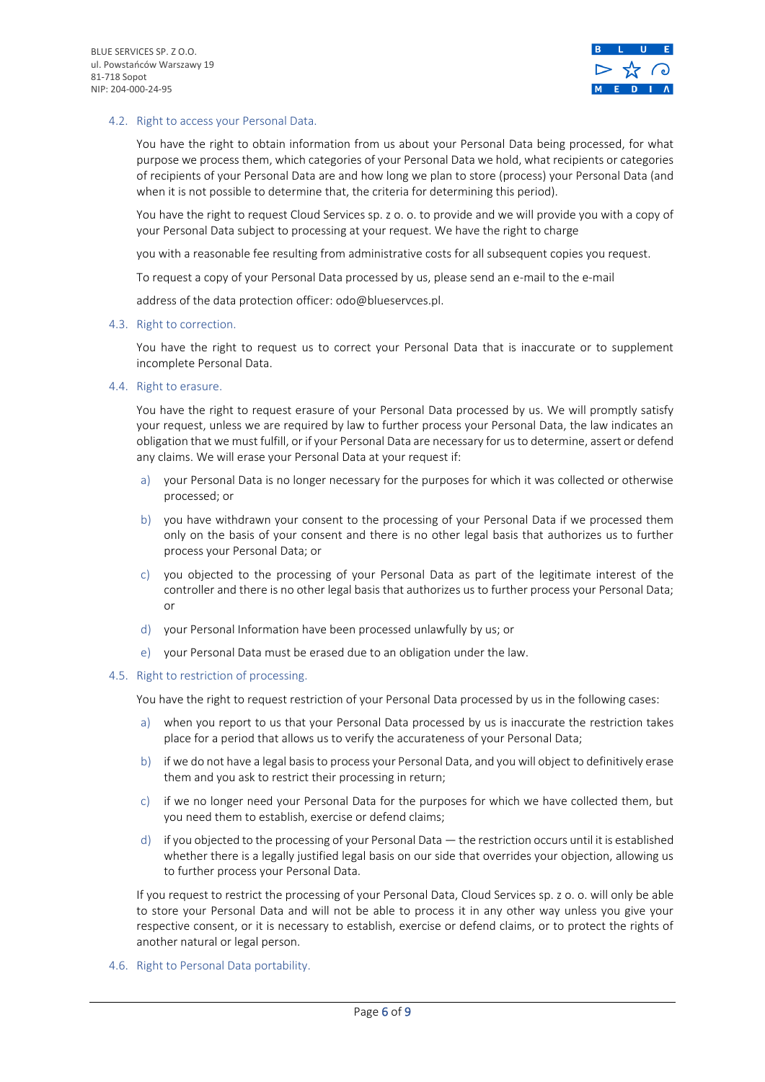

## 4.2. Right to access your Personal Data.

You have the right to obtain information from us about your Personal Data being processed, for what purpose we process them, which categories of your Personal Data we hold, what recipients or categories of recipients of your Personal Data are and how long we plan to store (process) your Personal Data (and when it is not possible to determine that, the criteria for determining this period).

You have the right to request Cloud Services sp. z o. o. to provide and we will provide you with a copy of your Personal Data subject to processing at your request. We have the right to charge

you with a reasonable fee resulting from administrative costs for all subsequent copies you request.

To request a copy of your Personal Data processed by us, please send an e-mail to the e-mail

address of the data protection officer: odo@blueservces.pl.

### 4.3. Right to correction.

You have the right to request us to correct your Personal Data that is inaccurate or to supplement incomplete Personal Data.

4.4. Right to erasure.

You have the right to request erasure of your Personal Data processed by us. We will promptly satisfy your request, unless we are required by law to further process your Personal Data, the law indicates an obligation that we must fulfill, or if your Personal Data are necessary for us to determine, assert or defend any claims. We will erase your Personal Data at your request if:

- a) your Personal Data is no longer necessary for the purposes for which it was collected or otherwise processed; or
- b) you have withdrawn your consent to the processing of your Personal Data if we processed them only on the basis of your consent and there is no other legal basis that authorizes us to further process your Personal Data; or
- c) you objected to the processing of your Personal Data as part of the legitimate interest of the controller and there is no other legal basis that authorizes us to further process your Personal Data; or
- d) your Personal Information have been processed unlawfully by us; or
- e) your Personal Data must be erased due to an obligation under the law.

### 4.5. Right to restriction of processing.

You have the right to request restriction of your Personal Data processed by us in the following cases:

- a) when you report to us that your Personal Data processed by us is inaccurate the restriction takes place for a period that allows us to verify the accurateness of your Personal Data;
- b) if we do not have a legal basis to process your Personal Data, and you will object to definitively erase them and you ask to restrict their processing in return;
- c) if we no longer need your Personal Data for the purposes for which we have collected them, but you need them to establish, exercise or defend claims;
- d) if you objected to the processing of your Personal Data the restriction occurs until it is established whether there is a legally justified legal basis on our side that overrides your objection, allowing us to further process your Personal Data.

If you request to restrict the processing of your Personal Data, Cloud Services sp. z o. o. will only be able to store your Personal Data and will not be able to process it in any other way unless you give your respective consent, or it is necessary to establish, exercise or defend claims, or to protect the rights of another natural or legal person.

4.6. Right to Personal Data portability.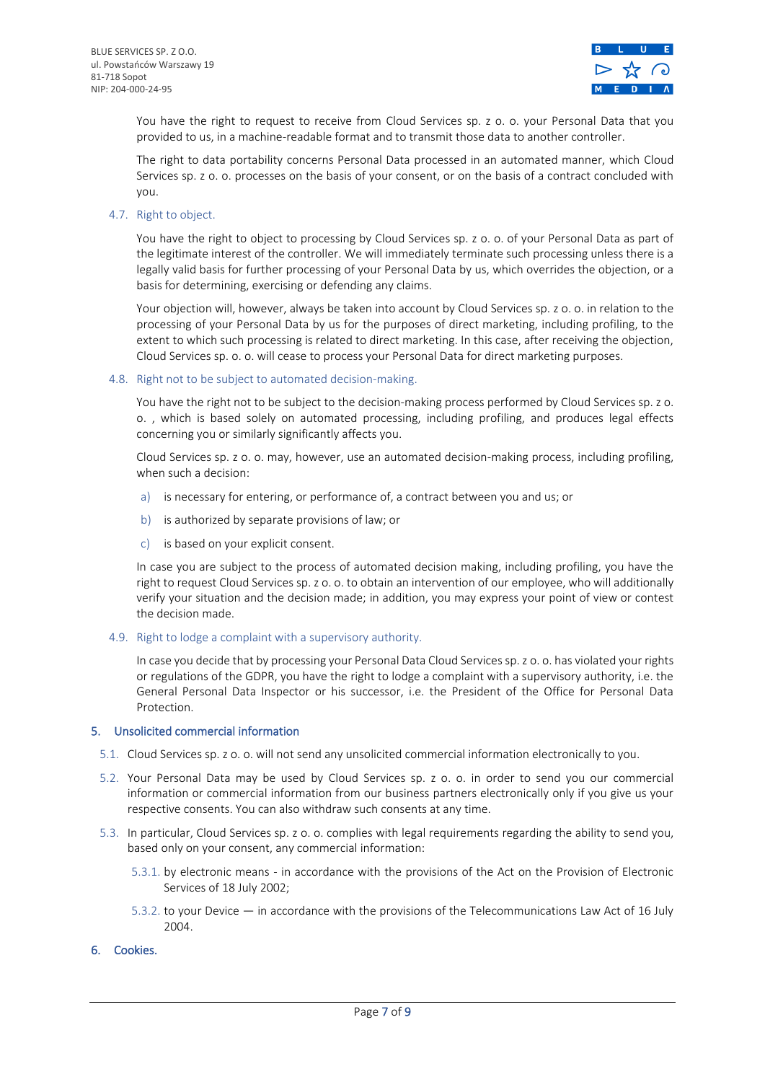

You have the right to request to receive from Cloud Services sp. z o. o. your Personal Data that you provided to us, in a machine-readable format and to transmit those data to another controller.

The right to data portability concerns Personal Data processed in an automated manner, which Cloud Services sp. z o. o. processes on the basis of your consent, or on the basis of a contract concluded with you.

4.7. Right to object.

You have the right to object to processing by Cloud Services sp. z o. o. of your Personal Data as part of the legitimate interest of the controller. We will immediately terminate such processing unless there is a legally valid basis for further processing of your Personal Data by us, which overrides the objection, or a basis for determining, exercising or defending any claims.

Your objection will, however, always be taken into account by Cloud Services sp. z o. o. in relation to the processing of your Personal Data by us for the purposes of direct marketing, including profiling, to the extent to which such processing is related to direct marketing. In this case, after receiving the objection, Cloud Services sp. o. o. will cease to process your Personal Data for direct marketing purposes.

4.8. Right not to be subject to automated decision-making.

You have the right not to be subject to the decision-making process performed by Cloud Services sp. z o. o. , which is based solely on automated processing, including profiling, and produces legal effects concerning you or similarly significantly affects you.

Cloud Services sp. z o. o. may, however, use an automated decision-making process, including profiling, when such a decision:

- a) is necessary for entering, or performance of, a contract between you and us; or
- b) is authorized by separate provisions of law; or
- c) is based on your explicit consent.

In case you are subject to the process of automated decision making, including profiling, you have the right to request Cloud Services sp. z o. o. to obtain an intervention of our employee, who will additionally verify your situation and the decision made; in addition, you may express your point of view or contest the decision made.

4.9. Right to lodge a complaint with a supervisory authority.

In case you decide that by processing your Personal Data Cloud Services sp. z o. o. has violated your rights or regulations of the GDPR, you have the right to lodge a complaint with a supervisory authority, i.e. the General Personal Data Inspector or his successor, i.e. the President of the Office for Personal Data Protection.

## 5. Unsolicited commercial information

- 5.1. Cloud Services sp. z o. o. will not send any unsolicited commercial information electronically to you.
- 5.2. Your Personal Data may be used by Cloud Services sp. z o. o. in order to send you our commercial information or commercial information from our business partners electronically only if you give us your respective consents. You can also withdraw such consents at any time.
- 5.3. In particular, Cloud Services sp. z o. o. complies with legal requirements regarding the ability to send you, based only on your consent, any commercial information:
	- 5.3.1. by electronic means in accordance with the provisions of the Act on the Provision of Electronic Services of 18 July 2002;
	- 5.3.2. to your Device in accordance with the provisions of the Telecommunications Law Act of 16 July 2004.
- 6. Cookies.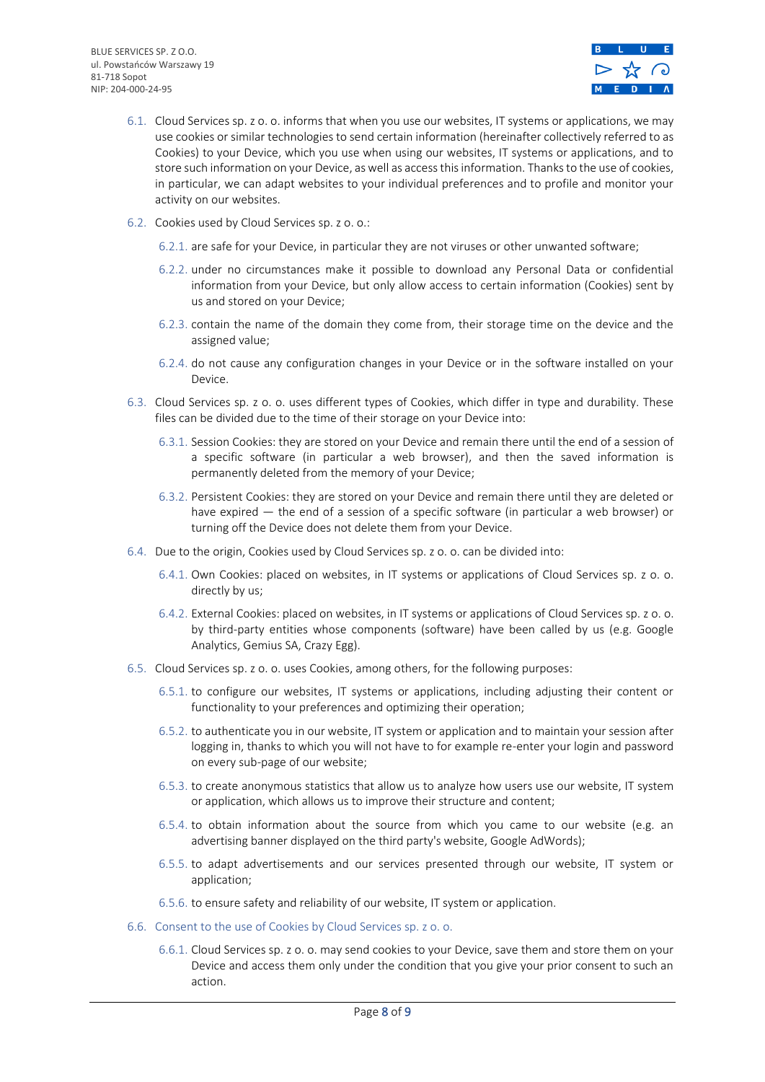

- 6.1. Cloud Services sp. z o. o. informs that when you use our websites, IT systems or applications, we may use cookies or similar technologies to send certain information (hereinafter collectively referred to as Cookies) to your Device, which you use when using our websites, IT systems or applications, and to store such information on your Device, as well as access this information. Thanks to the use of cookies, in particular, we can adapt websites to your individual preferences and to profile and monitor your activity on our websites.
- 6.2. Cookies used by Cloud Services sp. z o. o.:
	- 6.2.1. are safe for your Device, in particular they are not viruses or other unwanted software;
	- 6.2.2. under no circumstances make it possible to download any Personal Data or confidential information from your Device, but only allow access to certain information (Cookies) sent by us and stored on your Device;
	- 6.2.3. contain the name of the domain they come from, their storage time on the device and the assigned value;
	- 6.2.4. do not cause any configuration changes in your Device or in the software installed on your Device.
- 6.3. Cloud Services sp. z o. o. uses different types of Cookies, which differ in type and durability. These files can be divided due to the time of their storage on your Device into:
	- 6.3.1. Session Cookies: they are stored on your Device and remain there until the end of a session of a specific software (in particular a web browser), and then the saved information is permanently deleted from the memory of your Device;
	- 6.3.2. Persistent Cookies: they are stored on your Device and remain there until they are deleted or have expired — the end of a session of a specific software (in particular a web browser) or turning off the Device does not delete them from your Device.
- 6.4. Due to the origin, Cookies used by Cloud Services sp. z o. o. can be divided into:
	- 6.4.1. Own Cookies: placed on websites, in IT systems or applications of Cloud Services sp. z o. o. directly by us;
	- 6.4.2. External Cookies: placed on websites, in IT systems or applications of Cloud Services sp. z o. o. by third-party entities whose components (software) have been called by us (e.g. Google Analytics, Gemius SA, Crazy Egg).
- 6.5. Cloud Services sp. z o. o. uses Cookies, among others, for the following purposes:
	- 6.5.1. to configure our websites, IT systems or applications, including adjusting their content or functionality to your preferences and optimizing their operation;
	- 6.5.2. to authenticate you in our website, IT system or application and to maintain your session after logging in, thanks to which you will not have to for example re-enter your login and password on every sub-page of our website;
	- 6.5.3. to create anonymous statistics that allow us to analyze how users use our website, IT system or application, which allows us to improve their structure and content;
	- 6.5.4. to obtain information about the source from which you came to our website (e.g. an advertising banner displayed on the third party's website, Google AdWords);
	- 6.5.5. to adapt advertisements and our services presented through our website, IT system or application;
	- 6.5.6. to ensure safety and reliability of our website, IT system or application.
- 6.6. Consent to the use of Cookies by Cloud Services sp. z o. o.
	- 6.6.1. Cloud Services sp. z o. o. may send cookies to your Device, save them and store them on your Device and access them only under the condition that you give your prior consent to such an action.